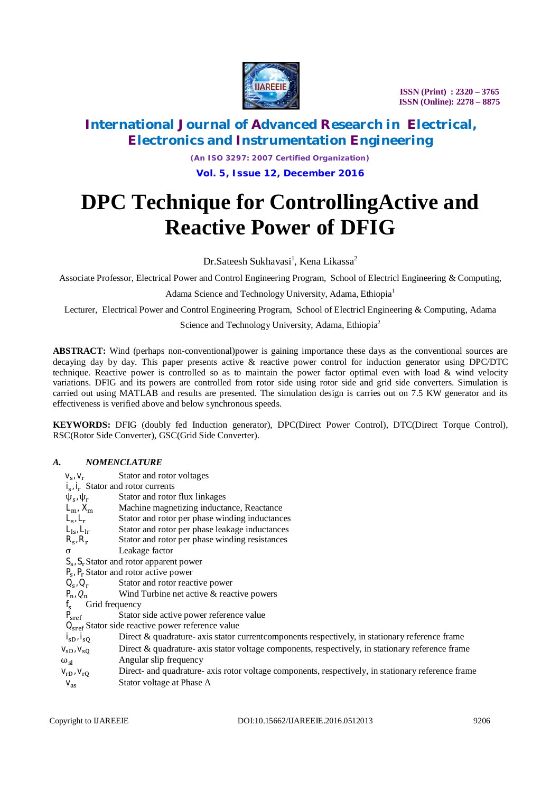

# **International Journal of Advanced Research in Electrical, Electronics and Instrumentation Engineering**

*(An ISO 3297: 2007 Certified Organization)* **Vol. 5, Issue 12, December 2016**

# **DPC Technique for ControllingActive and Reactive Power of DFIG**

Dr.Sateesh Sukhavasi<sup>1</sup>, Kena Likassa<sup>2</sup>

Associate Professor, Electrical Power and Control Engineering Program, School of Electricl Engineering & Computing,

Adama Science and Technology University, Adama, Ethiopia<sup>1</sup>

Lecturer, Electrical Power and Control Engineering Program, School of Electricl Engineering & Computing, Adama

Science and Technology University, Adama, Ethiopia<sup>2</sup>

**ABSTRACT:** Wind (perhaps non-conventional)power is gaining importance these days as the conventional sources are decaying day by day. This paper presents active & reactive power control for induction generator using DPC/DTC technique. Reactive power is controlled so as to maintain the power factor optimal even with load  $\&$  wind velocity variations. DFIG and its powers are controlled from rotor side using rotor side and grid side converters. Simulation is carried out using MATLAB and results are presented. The simulation design is carries out on 7.5 KW generator and its effectiveness is verified above and below synchronous speeds.

**KEYWORDS:** DFIG (doubly fed Induction generator), DPC(Direct Power Control), DTC(Direct Torque Control), RSC(Rotor Side Converter), GSC(Grid Side Converter).

#### *A. NOMENCLATURE*

| $V_{S'}V_r$                                        | Stator and rotor voltages                                                                          |  |  |  |  |
|----------------------------------------------------|----------------------------------------------------------------------------------------------------|--|--|--|--|
| $i_{s}$ , $i_{r}$ Stator and rotor currents        |                                                                                                    |  |  |  |  |
| $\psi_{s}$ , $\psi_{r}$                            | Stator and rotor flux linkages                                                                     |  |  |  |  |
| $L_m$ , $X_m$                                      | Machine magnetizing inductance, Reactance                                                          |  |  |  |  |
| $L_{\rm s}$ , $L_{\rm r}$                          | Stator and rotor per phase winding inductances                                                     |  |  |  |  |
| $L_{ls}$ , $L_{lr}$                                | Stator and rotor per phase leakage inductances                                                     |  |  |  |  |
| $R_{s}$ , $R_{r}$                                  | Stator and rotor per phase winding resistances                                                     |  |  |  |  |
| σ                                                  | Leakage factor                                                                                     |  |  |  |  |
| $S_{s}$ , $S_{r}$ Stator and rotor apparent power  |                                                                                                    |  |  |  |  |
| $P_s$ , $P_r$ Stator and rotor active power        |                                                                                                    |  |  |  |  |
| $Q_{s}$ , $Q_{r}$                                  | Stator and rotor reactive power                                                                    |  |  |  |  |
| $P_n, Q_n$                                         | Wind Turbine net active & reactive powers                                                          |  |  |  |  |
| Grid frequency                                     |                                                                                                    |  |  |  |  |
| P <sub>sref</sub>                                  | Stator side active power reference value                                                           |  |  |  |  |
| $Qsref$ Stator side reactive power reference value |                                                                                                    |  |  |  |  |
| $i_{sD}$ , $i_{sQ}$                                | Direct & quadrature- axis stator current components respectively, in stationary reference frame    |  |  |  |  |
| $V_{SD}$ , $V_{SO}$                                | Direct & quadrature- axis stator voltage components, respectively, in stationary reference frame   |  |  |  |  |
| $\omega_{\rm sl}$                                  | Angular slip frequency                                                                             |  |  |  |  |
| $V_{rD}$ , $V_{rO}$                                | Direct- and quadrature- axis rotor voltage components, respectively, in stationary reference frame |  |  |  |  |

 $v_{\text{as}}$  Stator voltage at Phase A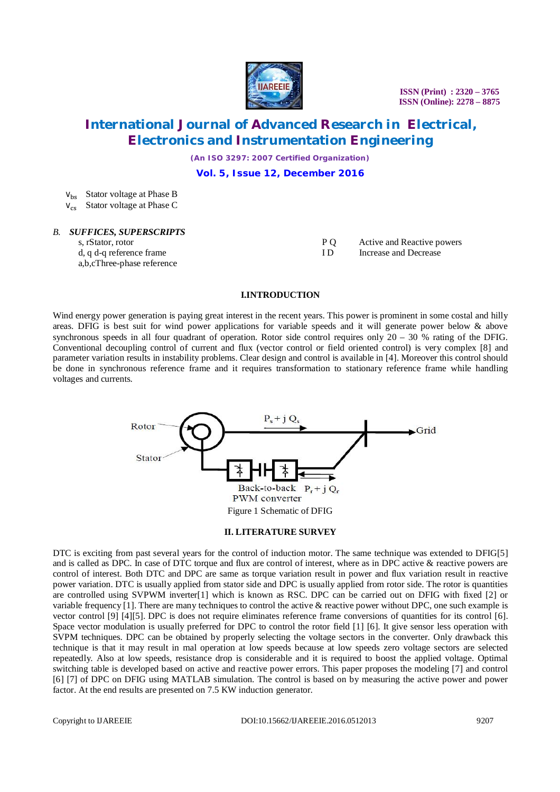

### **International Journal of Advanced Research in Electrical, Electronics and Instrumentation Engineering**

*(An ISO 3297: 2007 Certified Organization)*

**Vol. 5, Issue 12, December 2016**

 $V_{\text{hs}}$  Stator voltage at Phase B  $V_{cs}$  Stator voltage at Phase C

# *B. SUFFICES, SUPERSCRIPTS*

s, rStator, rotor d, q d-q reference frame a,b,cThree-phase reference

P Q Active and Reactive powers<br>ID Increase and Decrease Increase and Decrease

### **I.INTRODUCTION**

Wind energy power generation is paying great interest in the recent years. This power is prominent in some costal and hilly areas. DFIG is best suit for wind power applications for variable speeds and it will generate power below & above synchronous speeds in all four quadrant of operation. Rotor side control requires only 20 – 30 % rating of the DFIG. Conventional decoupling control of current and flux (vector control or field oriented control) is very complex [8] and parameter variation results in instability problems. Clear design and control is available in [4]. Moreover this control should be done in synchronous reference frame and it requires transformation to stationary reference frame while handling voltages and currents.



#### **II. LITERATURE SURVEY**

DTC is exciting from past several years for the control of induction motor. The same technique was extended to DFIG[5] and is called as DPC. In case of DTC torque and flux are control of interest, where as in DPC active & reactive powers are control of interest. Both DTC and DPC are same as torque variation result in power and flux variation result in reactive power variation. DTC is usually applied from stator side and DPC is usually applied from rotor side. The rotor is quantities are controlled using SVPWM inverter[1] which is known as RSC. DPC can be carried out on DFIG with fixed [2] or variable frequency [1]. There are many techniques to control the active & reactive power without DPC, one such example is vector control [9] [4][5]. DPC is does not require eliminates reference frame conversions of quantities for its control [6]. Space vector modulation is usually preferred for DPC to control the rotor field [1] [6]. It give sensor less operation with SVPM techniques. DPC can be obtained by properly selecting the voltage sectors in the converter. Only drawback this technique is that it may result in mal operation at low speeds because at low speeds zero voltage sectors are selected repeatedly. Also at low speeds, resistance drop is considerable and it is required to boost the applied voltage. Optimal switching table is developed based on active and reactive power errors. This paper proposes the modeling [7] and control [6] [7] of DPC on DFIG using MATLAB simulation. The control is based on by measuring the active power and power factor. At the end results are presented on 7.5 KW induction generator.

Copyright to IJAREEIE DOI:10.15662/IJAREEIE.2016.0512013 9207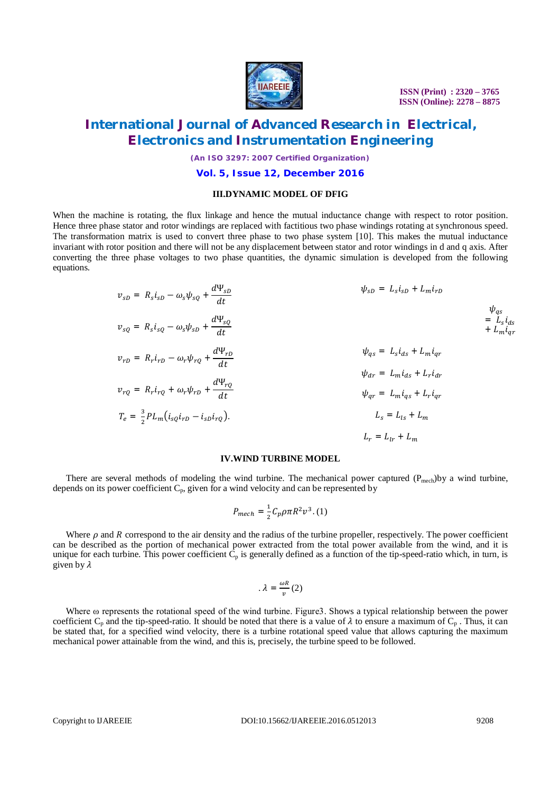

### **International Journal of Advanced Research in Electrical, Electronics and Instrumentation Engineering**

*(An ISO 3297: 2007 Certified Organization)*

#### **Vol. 5, Issue 12, December 2016**

#### **III.DYNAMIC MODEL OF DFIG**

When the machine is rotating, the flux linkage and hence the mutual inductance change with respect to rotor position. Hence three phase stator and rotor windings are replaced with factitious two phase windings rotating at synchronous speed. The transformation matrix is used to convert three phase to two phase system [10]. This makes the mutual inductance invariant with rotor position and there will not be any displacement between stator and rotor windings in d and q axis. After converting the three phase voltages to two phase quantities, the dynamic simulation is developed from the following equations.

$$
v_{sD} = R_s i_{sD} - \omega_s \psi_{sQ} + \frac{d\Psi_{sD}}{dt}
$$
  
\n
$$
v_{sQ} = R_s i_{sQ} - \omega_s \psi_{sD} + \frac{d\Psi_{sQ}}{dt}
$$
  
\n
$$
v_{rD} = R_r i_{rD} - \omega_r \psi_{rQ} + \frac{d\Psi_{rD}}{dt}
$$
  
\n
$$
v_{rQ} = R_r i_{rQ} + \omega_r \psi_{rD} + \frac{d\Psi_{rQ}}{dt}
$$
  
\n
$$
v_{rQ} = R_r i_{rQ} + \omega_r \psi_{rD} + \frac{d\Psi_{rQ}}{dt}
$$
  
\n
$$
v_{rQ} = R_r i_{rQ} + \omega_r \psi_{rD} + \frac{d\Psi_{rQ}}{dt}
$$
  
\n
$$
v_{rQ} = R_r i_{rQ} + \omega_r \psi_{rD} + \frac{d\Psi_{rQ}}{dt}
$$
  
\n
$$
v_{qr} = L_m i_{qs} + L_r i_{qr}
$$
  
\n
$$
v_{qr} = L_m i_{qs} + L_r i_{qr}
$$
  
\n
$$
L_s = L_{ls} + L_m
$$
  
\n
$$
L_r = L_{lr} + L_m
$$

#### **IV.WIND TURBINE MODEL**

There are several methods of modeling the wind turbine. The mechanical power captured  $(P_{mech})$ by a wind turbine, depends on its power coefficient  $C_p$ , given for a wind velocity and can be represented by

$$
P_{mech} = \frac{1}{2} C_p \rho \pi R^2 v^3. (1)
$$

Where  $\rho$  and  $R$  correspond to the air density and the radius of the turbine propeller, respectively. The power coefficient can be described as the portion of mechanical power extracted from the total power available from the wind, and it is unique for each turbine. This power coefficient  $C_p$  is generally defined as a function of the tip-speed-ratio which, in turn, is given by  $\lambda$ 

$$
.\,\lambda=\frac{\omega R}{v}\,(2)
$$

Where ω represents the rotational speed of the wind turbine. Figure3. Shows a typical relationship between the power coefficient C<sub>p</sub> and the tip-speed-ratio. It should be noted that there is a value of  $\lambda$  to ensure a maximum of C<sub>p</sub>. Thus, it can be stated that, for a specified wind velocity, there is a turbine rotational speed value that allows capturing the maximum mechanical power attainable from the wind, and this is, precisely, the turbine speed to be followed.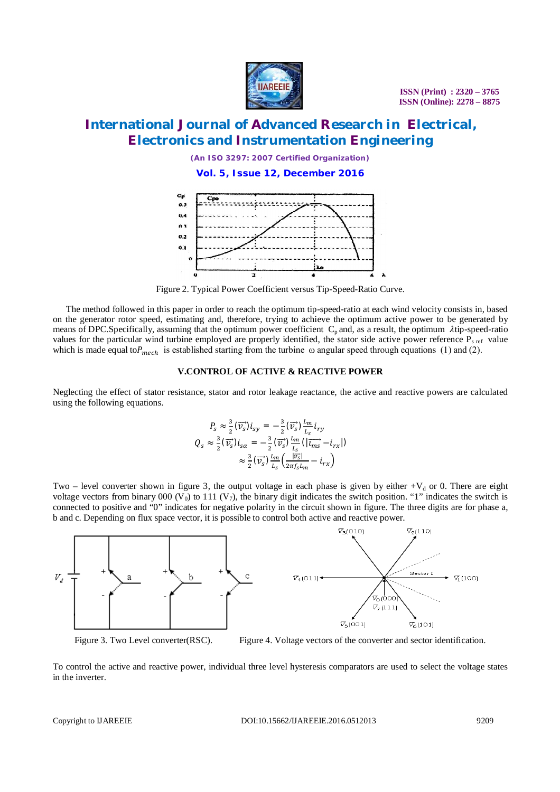

### **International Journal of Advanced Research in Electrical, Electronics and Instrumentation Engineering**

*(An ISO 3297: 2007 Certified Organization)*

**Vol. 5, Issue 12, December 2016**



Figure 2. Typical Power Coefficient versus Tip-Speed-Ratio Curve.

The method followed in this paper in order to reach the optimum tip-speed-ratio at each wind velocity consists in, based on the generator rotor speed, estimating and, therefore, trying to achieve the optimum active power to be generated by means of DPC.Specifically, assuming that the optimum power coefficient  $C_p$  and, as a result, the optimum  $\lambda$ tip-speed-ratio values for the particular wind turbine employed are properly identified, the stator side active power reference  $P_{\rm s, ref}$  value which is made equal to  $P_{mech}$  is established starting from the turbine  $\omega$  angular speed through equations (1) and (2).

#### **V.CONTROL OF ACTIVE & REACTIVE POWER**

Neglecting the effect of stator resistance, stator and rotor leakage reactance, the active and reactive powers are calculated using the following equations.

$$
P_s \approx \frac{3}{2} (\overrightarrow{v_s}) i_{sy} = -\frac{3}{2} (\overrightarrow{v_s}) \frac{l_m}{l_s} i_{ry}
$$
  

$$
Q_s \approx \frac{3}{2} (\overrightarrow{v_s}) i_{sa} = -\frac{3}{2} (\overrightarrow{v_s}) \frac{l_m}{l_s} (|\overrightarrow{l_{ms}} - i_{rx}|)
$$
  

$$
\approx \frac{3}{2} (\overrightarrow{v_s}) \frac{l_m}{l_s} (\frac{|\overrightarrow{v_s}|}{2\pi f_s l_m} - i_{rx})
$$

Two – level converter shown in figure 3, the output voltage in each phase is given by either  $+V_d$  or 0. There are eight voltage vectors from binary 000 (V<sub>0</sub>) to 111 (V<sub>7</sub>), the binary digit indicates the switch position. "1" indicates the switch is connected to positive and "0" indicates for negative polarity in the circuit shown in figure. The three digits are for phase a, b and c. Depending on flux space vector, it is possible to control both active and reactive power.



Figure 3. Two Level converter(RSC). Figure 4. Voltage vectors of the converter and sector identification.

To control the active and reactive power, individual three level hysteresis comparators are used to select the voltage states in the inverter.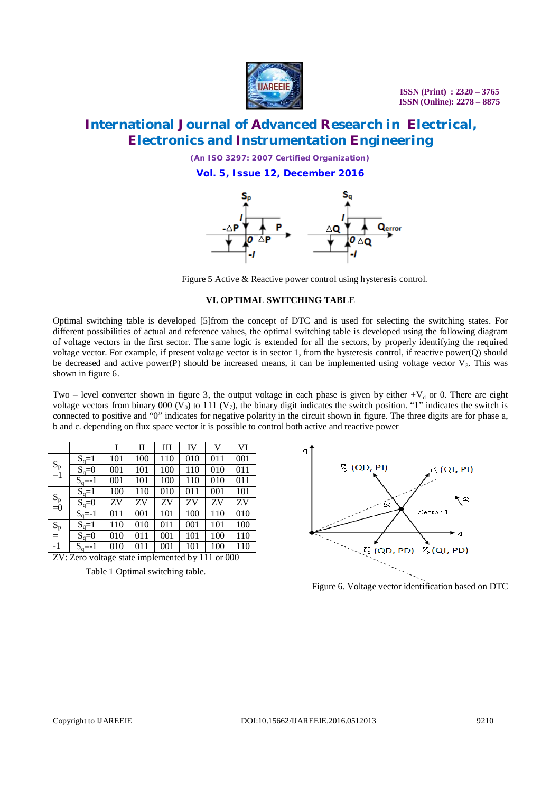

# **International Journal of Advanced Research in Electrical, Electronics and Instrumentation Engineering**

*(An ISO 3297: 2007 Certified Organization)*

**Vol. 5, Issue 12, December 2016**



Figure 5 Active & Reactive power control using hysteresis control.

#### **VI. OPTIMAL SWITCHING TABLE**

Optimal switching table is developed [5]from the concept of DTC and is used for selecting the switching states. For different possibilities of actual and reference values, the optimal switching table is developed using the following diagram of voltage vectors in the first sector. The same logic is extended for all the sectors, by properly identifying the required voltage vector. For example, if present voltage vector is in sector 1, from the hysteresis control, if reactive power(Q) should be decreased and active power(P) should be increased means, it can be implemented using voltage vector  $V_3$ . This was shown in figure 6.

Two – level converter shown in figure 3, the output voltage in each phase is given by either  $+V_d$  or 0. There are eight voltage vectors from binary 000 ( $V_0$ ) to 111 ( $V_7$ ), the binary digit indicates the switch position. "1" indicates the switch is connected to positive and "0" indicates for negative polarity in the circuit shown in figure. The three digits are for phase a, b and c. depending on flux space vector it is possible to control both active and reactive power

|             |            |     | $\mathbf{I}$ | Ш   | IV  | V   | VI  |
|-------------|------------|-----|--------------|-----|-----|-----|-----|
| $S_p$<br>=1 | $S_q=1$    | 101 | 100          | 110 | 010 | 011 | 001 |
|             | $S_q=0$    | 001 | 101          | 100 | 110 | 010 | 011 |
|             | $S_q = -1$ | 001 | 101          | 100 | 110 | 010 | 011 |
| $S_p$ =0    | $S_q=1$    | 100 | 110          | 010 | 011 | 001 | 101 |
|             | $S_q=0$    | ZV  | ZV           | ZV  | ZV  | ZV  | ZV  |
|             | $S_q = -1$ | 011 | 001          | 101 | 100 | 110 | 010 |
| $S_p$       | $S_q=1$    | 110 | 010          | 011 | 001 | 101 | 100 |
| $=$         | $S_q=0$    | 010 | 011          | 001 | 101 | 100 | 110 |
| $-1$        | $S_q = -1$ | 010 | 011          | 001 | 101 | 100 | 110 |

ZV: Zero voltage state implemented by 111 or 000

Table 1 Optimal switching table.



Figure 6. Voltage vector identification based on DTC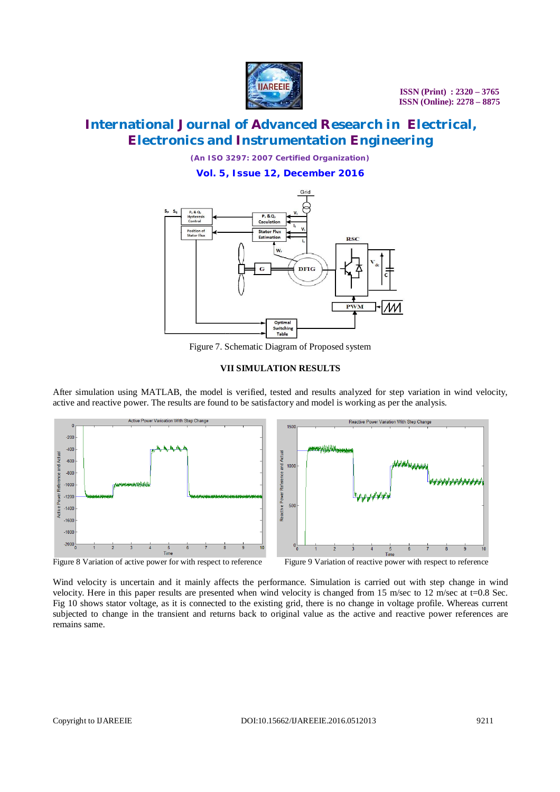

# **International Journal of Advanced Research in Electrical, Electronics and Instrumentation Engineering**

*(An ISO 3297: 2007 Certified Organization)*

**Vol. 5, Issue 12, December 2016**



Figure 7. Schematic Diagram of Proposed system

#### **VII SIMULATION RESULTS**

After simulation using MATLAB, the model is verified, tested and results analyzed for step variation in wind velocity, active and reactive power. The results are found to be satisfactory and model is working as per the analysis.



Wind velocity is uncertain and it mainly affects the performance. Simulation is carried out with step change in wind velocity. Here in this paper results are presented when wind velocity is changed from 15 m/sec to 12 m/sec at t=0.8 Sec. Fig 10 shows stator voltage, as it is connected to the existing grid, there is no change in voltage profile. Whereas current subjected to change in the transient and returns back to original value as the active and reactive power references are remains same.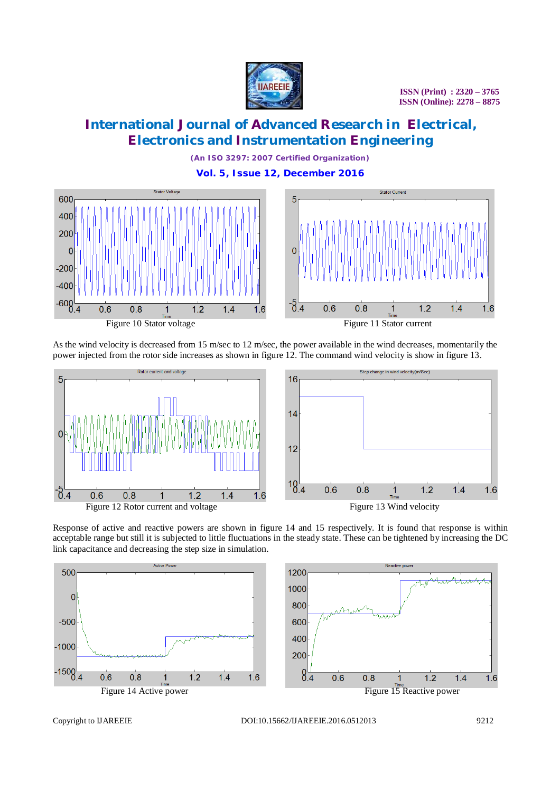

 $1.4$ 

 $1.6$ 

# **International Journal of Advanced Research in Electrical, Electronics and Instrumentation Engineering**

*(An ISO 3297: 2007 Certified Organization)* **Vol. 5, Issue 12, December 2016**



As the wind velocity is decreased from 15 m/sec to 12 m/sec, the power available in the wind decreases, momentarily the power injected from the rotor side increases as shown in figure 12. The command wind velocity is show in figure 13.



Response of active and reactive powers are shown in figure 14 and 15 respectively. It is found that response is within acceptable range but still it is subjected to little fluctuations in the steady state. These can be tightened by increasing the DC link capacitance and decreasing the step size in simulation.